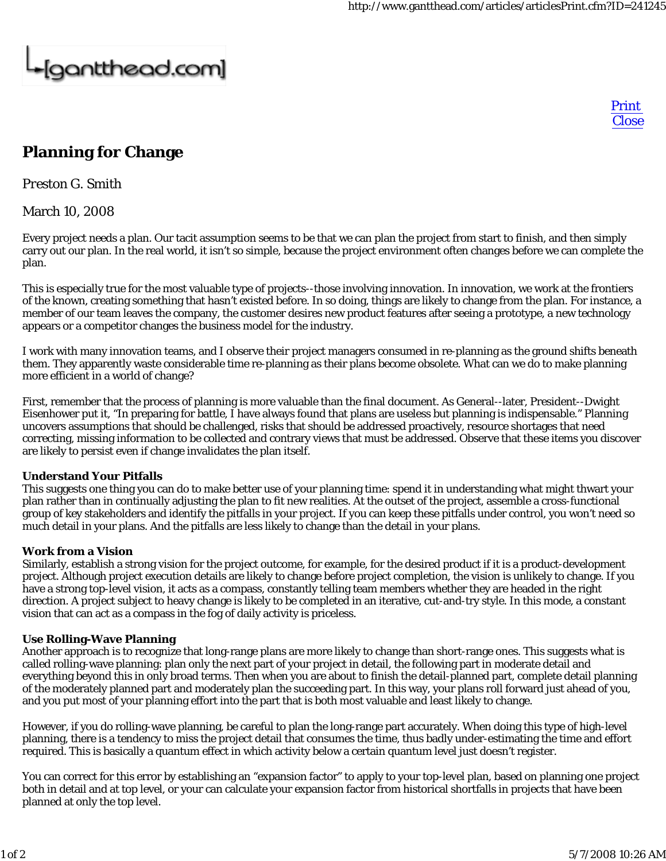# -[gantthead.com]

Print **Close** 

## **Planning for Change**

*Preston G. Smith*

March 10, 2008

Every project needs a plan. Our tacit assumption seems to be that we can plan the project from start to finish, and then simply carry out our plan. In the real world, it isn't so simple, because the project environment often changes before we can complete the plan.

This is especially true for the most valuable type of projects--those involving innovation. In innovation, we work at the frontiers of the known, creating something that hasn't existed before. In so doing, things are likely to change from the plan. For instance, a member of our team leaves the company, the customer desires new product features after seeing a prototype, a new technology appears or a competitor changes the business model for the industry.

I work with many innovation teams, and I observe their project managers consumed in re-planning as the ground shifts beneath them. They apparently waste considerable time re-planning as their plans become obsolete. What can we do to make planning more efficient in a world of change?

First, remember that the process of planning is more valuable than the final document. As General--later, President--Dwight Eisenhower put it, "In preparing for battle, I have always found that plans are useless but planning is indispensable." Planning uncovers assumptions that should be challenged, risks that should be addressed proactively, resource shortages that need correcting, missing information to be collected and contrary views that must be addressed. Observe that these items you discover are likely to persist even if change invalidates the plan itself.

### **Understand Your Pitfalls**

This suggests one thing you can do to make better use of your planning time: spend it in understanding what might thwart your plan rather than in continually adjusting the plan to fit new realities. At the outset of the project, assemble a cross-functional group of key stakeholders and identify the pitfalls in your project. If you can keep these pitfalls under control, you won't need so much detail in your plans. And the pitfalls are less likely to change than the detail in your plans.

### **Work from a Vision**

Similarly, establish a strong vision for the project outcome, for example, for the desired product if it is a product-development project. Although project execution details are likely to change before project completion, the vision is unlikely to change. If you have a strong top-level vision, it acts as a compass, constantly telling team members whether they are headed in the right direction. A project subject to heavy change is likely to be completed in an iterative, cut-and-try style. In this mode, a constant vision that can act as a compass in the fog of daily activity is priceless.

### **Use Rolling-Wave Planning**

Another approach is to recognize that long-range plans are more likely to change than short-range ones. This suggests what is called rolling-wave planning: plan only the next part of your project in detail, the following part in moderate detail and everything beyond this in only broad terms. Then when you are about to finish the detail-planned part, complete detail planning of the moderately planned part and moderately plan the succeeding part. In this way, your plans roll forward just ahead of you, and you put most of your planning effort into the part that is both most valuable and least likely to change.

However, if you do rolling-wave planning, be careful to plan the long-range part accurately. When doing this type of high-level planning, there is a tendency to miss the project detail that consumes the time, thus badly under-estimating the time and effort required. This is basically a quantum effect in which activity below a certain quantum level just doesn't register.

You can correct for this error by establishing an "expansion factor" to apply to your top-level plan, based on planning one project both in detail and at top level, or your can calculate your expansion factor from historical shortfalls in projects that have been planned at only the top level.